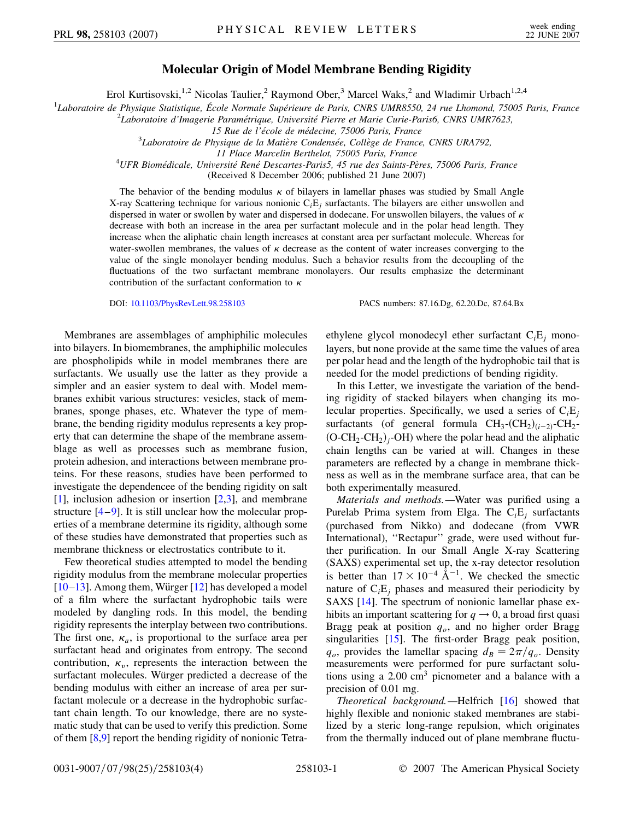## **Molecular Origin of Model Membrane Bending Rigidity**

Erol Kurtisovski,<sup>1,2</sup> Nicolas Taulier,<sup>2</sup> Raymond Ober,<sup>3</sup> Marcel Waks,<sup>2</sup> and Wladimir Urbach<sup>1,2,4</sup>

<sup>1</sup>Laboratoire de Physique Statistique, École Normale Supérieure de Paris, CNRS UMR8550, 24 rue Lhomond, 75005 Paris, France<br><sup>2</sup>Laboratoire d'Imaggrie Paramétrique, Université Pierre et Marie Curie Paris6, CNPS UMP7623

<sup>2</sup>Laboratoire d'Imagerie Paramétrique, Université Pierre et Marie Curie-Paris6, CNRS UMR7623,

*15 Rue de l'e´cole de me´decine, 75006 Paris, France* <sup>3</sup>

<sup>3</sup>Laboratoire de Physique de la Matière Condensée, Collège de France, CNRS URA792,

*11 Place Marcelin Berthelot, 75005 Paris, France* <sup>4</sup> *UFR Biome´dicale, Universite´ Rene´ Descartes-Paris5, 45 rue des Saints-Pe`res, 75006 Paris, France*

(Received 8 December 2006; published 21 June 2007)

The behavior of the bending modulus  $\kappa$  of bilayers in lamellar phases was studied by Small Angle X-ray Scattering technique for various nonionic C*i*E*<sup>j</sup>* surfactants. The bilayers are either unswollen and dispersed in water or swollen by water and dispersed in dodecane. For unswollen bilayers, the values of  $\kappa$ decrease with both an increase in the area per surfactant molecule and in the polar head length. They increase when the aliphatic chain length increases at constant area per surfactant molecule. Whereas for water-swollen membranes, the values of  $\kappa$  decrease as the content of water increases converging to the value of the single monolayer bending modulus. Such a behavior results from the decoupling of the fluctuations of the two surfactant membrane monolayers. Our results emphasize the determinant contribution of the surfactant conformation to  $\kappa$ 

DOI: [10.1103/PhysRevLett.98.258103](http://dx.doi.org/10.1103/PhysRevLett.98.258103) PACS numbers: 87.16.Dg, 62.20.Dc, 87.64.Bx

Membranes are assemblages of amphiphilic molecules into bilayers. In biomembranes, the amphiphilic molecules are phospholipids while in model membranes there are surfactants. We usually use the latter as they provide a simpler and an easier system to deal with. Model membranes exhibit various structures: vesicles, stack of membranes, sponge phases, etc. Whatever the type of membrane, the bending rigidity modulus represents a key property that can determine the shape of the membrane assemblage as well as processes such as membrane fusion, protein adhesion, and interactions between membrane proteins. For these reasons, studies have been performed to investigate the dependencee of the bending rigidity on salt [\[1\]](#page-3-0), inclusion adhesion or insertion [[2](#page-3-1)[,3\]](#page-3-2), and membrane structure  $[4-9]$  $[4-9]$  $[4-9]$  $[4-9]$ . It is still unclear how the molecular properties of a membrane determine its rigidity, although some of these studies have demonstrated that properties such as membrane thickness or electrostatics contribute to it.

Few theoretical studies attempted to model the bending rigidity modulus from the membrane molecular properties  $[10-13]$  $[10-13]$ . Among them, Würger  $[12]$  has developed a model of a film where the surfactant hydrophobic tails were modeled by dangling rods. In this model, the bending rigidity represents the interplay between two contributions. The first one,  $\kappa_a$ , is proportional to the surface area per surfactant head and originates from entropy. The second contribution,  $\kappa_v$ , represents the interaction between the surfactant molecules. Würger predicted a decrease of the bending modulus with either an increase of area per surfactant molecule or a decrease in the hydrophobic surfactant chain length. To our knowledge, there are no systematic study that can be used to verify this prediction. Some of them [\[8](#page-3-8),[9](#page-3-4)] report the bending rigidity of nonionic Tetraethylene glycol monodecyl ether surfactant C*i*E*<sup>j</sup>* monolayers, but none provide at the same time the values of area per polar head and the length of the hydrophobic tail that is needed for the model predictions of bending rigidity.

In this Letter, we investigate the variation of the bending rigidity of stacked bilayers when changing its molecular properties. Specifically, we used a series of C*i*E*<sup>j</sup>* surfactants (of general formula  $CH_3$ - $(CH_2)_{(i-2)}$ - $CH_2$ - $(O\text{-CH}_2\text{-CH}_2)_j\text{-OH}$ ) where the polar head and the aliphatic chain lengths can be varied at will. Changes in these parameters are reflected by a change in membrane thickness as well as in the membrane surface area, that can be both experimentally measured.

*Materials and methods.—*Water was purified using a Purelab Prima system from Elga. The C*i*E*<sup>j</sup>* surfactants (purchased from Nikko) and dodecane (from VWR International), "Rectapur" grade, were used without further purification. In our Small Angle X-ray Scattering (SAXS) experimental set up, the x-ray detector resolution is better than  $17 \times 10^{-4}$   $\rm \AA^{-1}$ . We checked the smectic nature of  $C<sub>i</sub>E<sub>i</sub>$  phases and measured their periodicity by SAXS [\[14\]](#page-3-9). The spectrum of nonionic lamellar phase exhibits an important scattering for  $q \rightarrow 0$ , a broad first quasi Bragg peak at position  $q<sub>o</sub>$ , and no higher order Bragg singularities [\[15\]](#page-3-10). The first-order Bragg peak position,  $q_o$ , provides the lamellar spacing  $d_B = 2\pi/q_o$ . Density measurements were performed for pure surfactant solutions using a 2*:*00 cm<sup>3</sup> picnometer and a balance with a precision of 0.01 mg.

*Theoretical background.—*Helfrich [\[16\]](#page-3-11) showed that highly flexible and nonionic staked membranes are stabilized by a steric long-range repulsion, which originates from the thermally induced out of plane membrane fluctu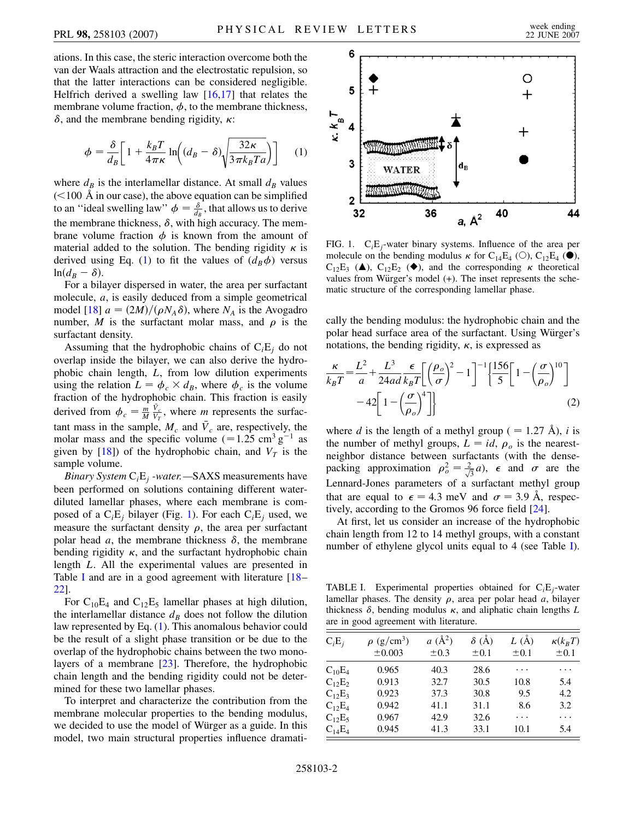ations. In this case, the steric interaction overcome both the van der Waals attraction and the electrostatic repulsion, so that the latter interactions can be considered negligible. Helfrich derived a swelling law  $[16,17]$  $[16,17]$  $[16,17]$  $[16,17]$  that relates the membrane volume fraction,  $\phi$ , to the membrane thickness,  $\delta$ , and the membrane bending rigidity,  $\kappa$ :

<span id="page-1-0"></span>
$$
\phi = \frac{\delta}{d_B} \left[ 1 + \frac{k_B T}{4 \pi \kappa} \ln \left( (d_B - \delta) \sqrt{\frac{32 \kappa}{3 \pi k_B T a}} \right) \right] \tag{1}
$$

where  $d_B$  is the interlamellar distance. At small  $d_B$  values (*<*100 A in our case), the above equation can be simplified to an "ideal swelling law"  $\phi = \frac{\delta}{d_B}$ , that allows us to derive the membrane thickness,  $\delta$ , with high accuracy. The membrane volume fraction  $\phi$  is known from the amount of material added to the solution. The bending rigidity  $\kappa$  is derived using Eq. ([1\)](#page-1-0) to fit the values of  $(d_B \phi)$  versus  $ln(d_B - \delta).$ 

For a bilayer dispersed in water, the area per surfactant molecule, *a*, is easily deduced from a simple geometrical model [[18](#page-3-13)]  $a = (2M)/(\rho N_A \delta)$ , where  $N_A$  is the Avogadro number, *M* is the surfactant molar mass, and  $\rho$  is the surfactant density.

Assuming that the hydrophobic chains of  $C<sub>i</sub>E<sub>j</sub>$  do not overlap inside the bilayer, we can also derive the hydrophobic chain length, *L*, from low dilution experiments using the relation  $L = \phi_c \times d_B$ , where  $\phi_c$  is the volume fraction of the hydrophobic chain. This fraction is easily derived from  $\phi_c = \frac{m}{M}$  $\frac{\bar{V}_c}{V_T}$ , where *m* represents the surfactant mass in the sample,  $M_c$  and  $\bar{V}_c$  are, respectively, the molar mass and the specific volume  $(=1.25 \text{ cm}^3 \text{ g}^{-1}$  as given by  $[18]$  $[18]$  $[18]$ ) of the hydrophobic chain, and  $V_T$  is the sample volume.

*Binary System* C*i*E*<sup>j</sup> -water.—*SAXS measurements have been performed on solutions containing different waterdiluted lamellar phases, where each membrane is composed of a  $C_iE_j$  bilayer (Fig. [1\)](#page-1-1). For each  $C_iE_j$  used, we measure the surfactant density  $\rho$ , the area per surfactant polar head  $a$ , the membrane thickness  $\delta$ , the membrane bending rigidity  $\kappa$ , and the surfactant hydrophobic chain length *L*. All the experimental values are presented in Table [I](#page-1-2) and are in a good agreement with literature [[18](#page-3-13)– [22](#page-3-14)].

For  $C_{10}E_4$  and  $C_{12}E_5$  lamellar phases at high dilution, the interlamellar distance  $d<sub>B</sub>$  does not follow the dilution law represented by Eq. ([1\)](#page-1-0). This anomalous behavior could be the result of a slight phase transition or be due to the overlap of the hydrophobic chains between the two monolayers of a membrane [[23](#page-3-15)]. Therefore, the hydrophobic chain length and the bending rigidity could not be determined for these two lamellar phases.

To interpret and characterize the contribution from the membrane molecular properties to the bending modulus, we decided to use the model of Würger as a guide. In this model, two main structural properties influence dramati-

<span id="page-1-1"></span>

FIG. 1. C*i*E*j*-water binary systems. Influence of the area per molecule on the bending modulus  $\kappa$  for C<sub>14</sub>E<sub>4</sub> (O), C<sub>12</sub>E<sub>4</sub> ( $\bullet$ ),  $C_{12}E_3$  (A),  $C_{12}E_2$  ( $\blacklozenge$ ), and the corresponding  $\kappa$  theoretical values from Würger's model (+). The inset represents the schematic structure of the corresponding lamellar phase.

cally the bending modulus: the hydrophobic chain and the polar head surface area of the surfactant. Using Würger's notations, the bending rigidity,  $\kappa$ , is expressed as

<span id="page-1-3"></span>
$$
\frac{\kappa}{k_B T} = \frac{L^2}{a} + \frac{L^3}{24ad} \frac{\epsilon}{k_B T} \left[ \left( \frac{\rho_o}{\sigma} \right)^2 - 1 \right]^{-1} \left[ \frac{156}{5} \left[ 1 - \left( \frac{\sigma}{\rho_o} \right)^{10} \right] - 42 \left[ 1 - \left( \frac{\sigma}{\rho_o} \right)^4 \right] \right]
$$
(2)

where *d* is the length of a methyl group ( $= 1.27$  Å), *i* is the number of methyl groups,  $L = id$ ,  $\rho_o$  is the nearestneighbor distance between surfactants (with the densepacking approximation  $\rho_o^2 = \frac{2}{\sqrt{3}}a$ ,  $\epsilon$  and  $\sigma$  are the Lennard-Jones parameters of a surfactant methyl group that are equal to  $\epsilon = 4.3$  meV and  $\sigma = 3.9$  Å, respectively, according to the Gromos 96 force field [[24](#page-3-16)].

At first, let us consider an increase of the hydrophobic chain length from 12 to 14 methyl groups, with a constant number of ethylene glycol units equal to 4 (see Table [I\)](#page-1-2).

<span id="page-1-2"></span>TABLE I. Experimental properties obtained for C*i*E*j*-water lamellar phases. The density  $\rho$ , area per polar head  $a$ , bilayer thickness  $\delta$ , bending modulus  $\kappa$ , and aliphatic chain lengths  $L$ are in good agreement with literature.

| $C_iE_j$                 | $\rho$ (g/cm <sup>3</sup> ) | $a(\AA^2)$ | $\delta$ (Å) | L(A)      | $\kappa(k_BT)$ |
|--------------------------|-----------------------------|------------|--------------|-----------|----------------|
|                          | $\pm 0.003$                 | $\pm 0.3$  | $\pm 0.1$    | $\pm 0.1$ | $\pm 0.1$      |
| $C_{10}E_4$              | 0.965                       | 40.3       | 28.6         | .         | .              |
| $C_{12}E_2$              | 0.913                       | 32.7       | 30.5         | 10.8      | 5.4            |
| $C_1$ <sub>2</sub> $E_3$ | 0.923                       | 37.3       | 30.8         | 9.5       | 4.2            |
| $C_{12}E_4$              | 0.942                       | 41.1       | 31.1         | 8.6       | 3.2            |
| $C_{12}E_5$              | 0.967                       | 42.9       | 32.6         | .         | .              |
| $C_{14}E_4$              | 0.945                       | 41.3       | 33.1         | 10.1      | 5.4            |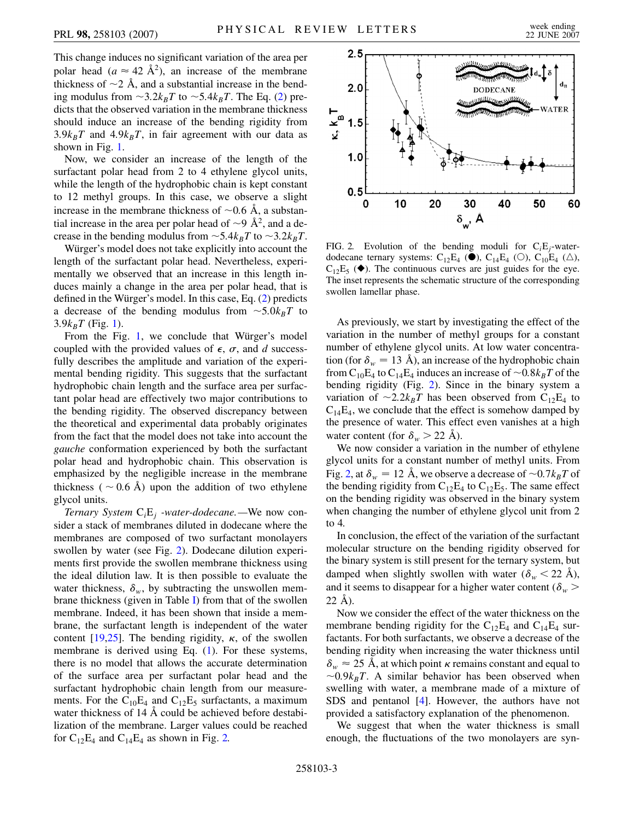This change induces no significant variation of the area per polar head ( $a \approx 42 \text{ Å}^2$ ), an increase of the membrane thickness of  $\sim$ 2 Å, and a substantial increase in the bending modulus from  $\sim$ 3.2 $k_B T$  to  $\sim$ 5.4 $k_B T$ . The Eq. [\(2\)](#page-1-3) predicts that the observed variation in the membrane thickness should induce an increase of the bending rigidity from  $3.9k_BT$  and  $4.9k_BT$ , in fair agreement with our data as shown in Fig. [1.](#page-1-1)

Now, we consider an increase of the length of the surfactant polar head from 2 to 4 ethylene glycol units, while the length of the hydrophobic chain is kept constant to 12 methyl groups. In this case, we observe a slight increase in the membrane thickness of  $\sim 0.6$  Å, a substantial increase in the area per polar head of  $\sim$ 9 Å<sup>2</sup>, and a decrease in the bending modulus from  $\sim$  5.4 $k_BT$  to  $\sim$  3.2 $k_BT$ .

Würger's model does not take explicitly into account the length of the surfactant polar head. Nevertheless, experimentally we observed that an increase in this length induces mainly a change in the area per polar head, that is defined in the Würger's model. In this case, Eq.  $(2)$  $(2)$  $(2)$  predicts a decrease of the bending modulus from  $\sim$ 5.0 $k_B T$  to  $3.9k_BT$  (Fig. [1](#page-1-1)).

From the Fig.  $1$ , we conclude that Würger's model coupled with the provided values of  $\epsilon$ ,  $\sigma$ , and *d* successfully describes the amplitude and variation of the experimental bending rigidity. This suggests that the surfactant hydrophobic chain length and the surface area per surfactant polar head are effectively two major contributions to the bending rigidity. The observed discrepancy between the theoretical and experimental data probably originates from the fact that the model does not take into account the *gauche* conformation experienced by both the surfactant polar head and hydrophobic chain. This observation is emphasized by the negligible increase in the membrane thickness ( $\sim$  0.6 Å) upon the addition of two ethylene glycol units.

*Ternary System* C*i*E*<sup>j</sup> -water-dodecane.—*We now consider a stack of membranes diluted in dodecane where the membranes are composed of two surfactant monolayers swollen by water (see Fig. [2\)](#page-2-0). Dodecane dilution experiments first provide the swollen membrane thickness using the ideal dilution law. It is then possible to evaluate the water thickness,  $\delta_w$ , by subtracting the unswollen membrane thickness (given in Table [I](#page-1-2)) from that of the swollen membrane. Indeed, it has been shown that inside a membrane, the surfactant length is independent of the water content [[19](#page-3-17),[25](#page-3-18)]. The bending rigidity,  $\kappa$ , of the swollen membrane is derived using Eq. [\(1\)](#page-1-0). For these systems, there is no model that allows the accurate determination of the surface area per surfactant polar head and the surfactant hydrophobic chain length from our measurements. For the  $C_{10}E_4$  and  $C_{12}E_5$  surfactants, a maximum water thickness of  $14 \text{ Å}$  could be achieved before destabilization of the membrane. Larger values could be reached for  $C_{12}E_4$  and  $C_{14}E_4$  as shown in Fig. [2.](#page-2-0)

<span id="page-2-0"></span>

FIG. 2. Evolution of the bending moduli for C*i*E*j*-waterdodecane ternary systems:  $C_{12}E_4$  ( $\bullet$ ),  $C_{14}E_4$  ( $\circ$ ),  $C_{10}E_4$  ( $\triangle$ ),  $C_{12}E_5$  ( $\blacklozenge$ ). The continuous curves are just guides for the eye. The inset represents the schematic structure of the corresponding swollen lamellar phase.

As previously, we start by investigating the effect of the variation in the number of methyl groups for a constant number of ethylene glycol units. At low water concentration (for  $\delta_w = 13$  Å), an increase of the hydrophobic chain from  $C_{10}E_4$  to  $C_{14}E_4$  induces an increase of  $\sim 0.8k_BT$  of the bending rigidity (Fig. [2\)](#page-2-0). Since in the binary system a variation of  $\sim 2.2 k_B T$  has been observed from C<sub>12</sub>E<sub>4</sub> to  $C_{14}E_4$ , we conclude that the effect is somehow damped by the presence of water. This effect even vanishes at a high water content (for  $\delta_w > 22$  Å).

We now consider a variation in the number of ethylene glycol units for a constant number of methyl units. From Fig. [2,](#page-2-0) at  $\delta_w = 12$  Å, we observe a decrease of  $\sim 0.7 k_B T$  of the bending rigidity from  $C_{12}E_4$  to  $C_{12}E_5$ . The same effect on the bending rigidity was observed in the binary system when changing the number of ethylene glycol unit from 2 to 4.

In conclusion, the effect of the variation of the surfactant molecular structure on the bending rigidity observed for the binary system is still present for the ternary system, but damped when slightly swollen with water  $(\delta_w < 22 \text{ Å})$ , and it seems to disappear for a higher water content ( $\delta_w$ )  $22 \text{ Å}$ ).

Now we consider the effect of the water thickness on the membrane bending rigidity for the  $C_{12}E_4$  and  $C_{14}E_4$  surfactants. For both surfactants, we observe a decrease of the bending rigidity when increasing the water thickness until  $\delta_w \approx 25$  Å, at which point  $\kappa$  remains constant and equal to  $\sim 0.9 k_B T$ . A similar behavior has been observed when swelling with water, a membrane made of a mixture of SDS and pentanol [[4](#page-3-3)]. However, the authors have not provided a satisfactory explanation of the phenomenon.

We suggest that when the water thickness is small enough, the fluctuations of the two monolayers are syn